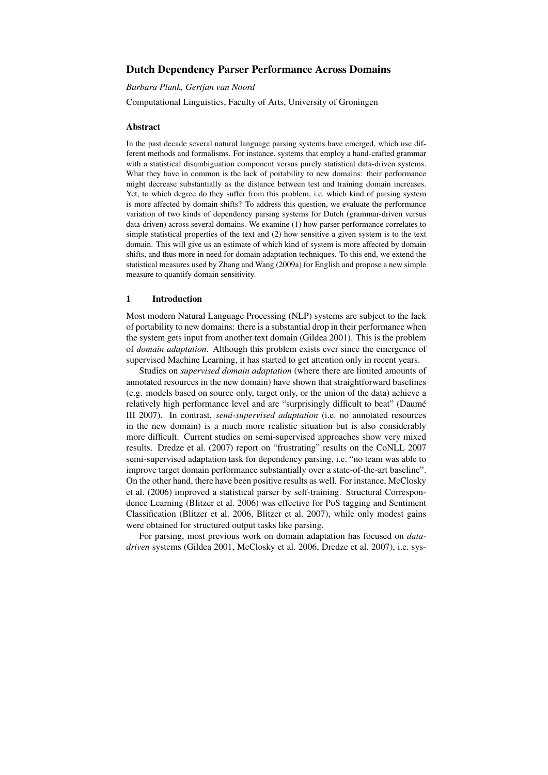# Dutch Dependency Parser Performance Across Domains

*Barbara Plank, Gertjan van Noord*

Computational Linguistics, Faculty of Arts, University of Groningen

### Abstract

In the past decade several natural language parsing systems have emerged, which use different methods and formalisms. For instance, systems that employ a hand-crafted grammar with a statistical disambiguation component versus purely statistical data-driven systems. What they have in common is the lack of portability to new domains: their performance might decrease substantially as the distance between test and training domain increases. Yet, to which degree do they suffer from this problem, i.e. which kind of parsing system is more affected by domain shifts? To address this question, we evaluate the performance variation of two kinds of dependency parsing systems for Dutch (grammar-driven versus data-driven) across several domains. We examine (1) how parser performance correlates to simple statistical properties of the text and (2) how sensitive a given system is to the text domain. This will give us an estimate of which kind of system is more affected by domain shifts, and thus more in need for domain adaptation techniques. To this end, we extend the statistical measures used by Zhang and Wang (2009a) for English and propose a new simple measure to quantify domain sensitivity.

### 1 Introduction

Most modern Natural Language Processing (NLP) systems are subject to the lack of portability to new domains: there is a substantial drop in their performance when the system gets input from another text domain (Gildea 2001). This is the problem of *domain adaptation*. Although this problem exists ever since the emergence of supervised Machine Learning, it has started to get attention only in recent years.

Studies on *supervised domain adaptation* (where there are limited amounts of annotated resources in the new domain) have shown that straightforward baselines (e.g. models based on source only, target only, or the union of the data) achieve a relatively high performance level and are "surprisingly difficult to beat" (Daumé III 2007). In contrast, *semi-supervised adaptation* (i.e. no annotated resources in the new domain) is a much more realistic situation but is also considerably more difficult. Current studies on semi-supervised approaches show very mixed results. Dredze et al. (2007) report on "frustrating" results on the CoNLL 2007 semi-supervised adaptation task for dependency parsing, i.e. "no team was able to improve target domain performance substantially over a state-of-the-art baseline". On the other hand, there have been positive results as well. For instance, McClosky et al. (2006) improved a statistical parser by self-training. Structural Correspondence Learning (Blitzer et al. 2006) was effective for PoS tagging and Sentiment Classification (Blitzer et al. 2006, Blitzer et al. 2007), while only modest gains were obtained for structured output tasks like parsing.

For parsing, most previous work on domain adaptation has focused on *datadriven* systems (Gildea 2001, McClosky et al. 2006, Dredze et al. 2007), i.e. sys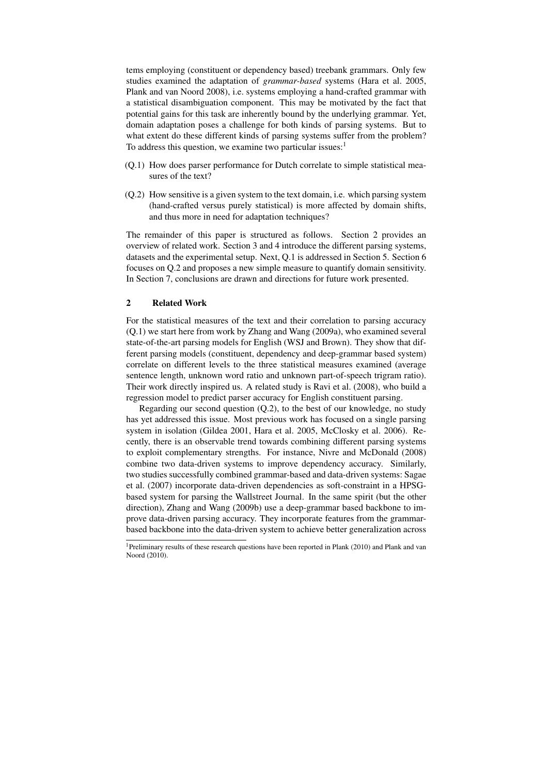tems employing (constituent or dependency based) treebank grammars. Only few studies examined the adaptation of *grammar-based* systems (Hara et al. 2005, Plank and van Noord 2008), i.e. systems employing a hand-crafted grammar with a statistical disambiguation component. This may be motivated by the fact that potential gains for this task are inherently bound by the underlying grammar. Yet, domain adaptation poses a challenge for both kinds of parsing systems. But to what extent do these different kinds of parsing systems suffer from the problem? To address this question, we examine two particular issues: $<sup>1</sup>$ </sup>

- (Q.1) How does parser performance for Dutch correlate to simple statistical measures of the text?
- (Q.2) How sensitive is a given system to the text domain, i.e. which parsing system (hand-crafted versus purely statistical) is more affected by domain shifts, and thus more in need for adaptation techniques?

The remainder of this paper is structured as follows. Section 2 provides an overview of related work. Section 3 and 4 introduce the different parsing systems, datasets and the experimental setup. Next, Q.1 is addressed in Section 5. Section 6 focuses on Q.2 and proposes a new simple measure to quantify domain sensitivity. In Section 7, conclusions are drawn and directions for future work presented.

# 2 Related Work

For the statistical measures of the text and their correlation to parsing accuracy (Q.1) we start here from work by Zhang and Wang (2009a), who examined several state-of-the-art parsing models for English (WSJ and Brown). They show that different parsing models (constituent, dependency and deep-grammar based system) correlate on different levels to the three statistical measures examined (average sentence length, unknown word ratio and unknown part-of-speech trigram ratio). Their work directly inspired us. A related study is Ravi et al. (2008), who build a regression model to predict parser accuracy for English constituent parsing.

Regarding our second question (Q.2), to the best of our knowledge, no study has yet addressed this issue. Most previous work has focused on a single parsing system in isolation (Gildea 2001, Hara et al. 2005, McClosky et al. 2006). Recently, there is an observable trend towards combining different parsing systems to exploit complementary strengths. For instance, Nivre and McDonald (2008) combine two data-driven systems to improve dependency accuracy. Similarly, two studies successfully combined grammar-based and data-driven systems: Sagae et al. (2007) incorporate data-driven dependencies as soft-constraint in a HPSGbased system for parsing the Wallstreet Journal. In the same spirit (but the other direction), Zhang and Wang (2009b) use a deep-grammar based backbone to improve data-driven parsing accuracy. They incorporate features from the grammarbased backbone into the data-driven system to achieve better generalization across

<sup>&</sup>lt;sup>1</sup>Preliminary results of these research questions have been reported in Plank (2010) and Plank and van Noord (2010).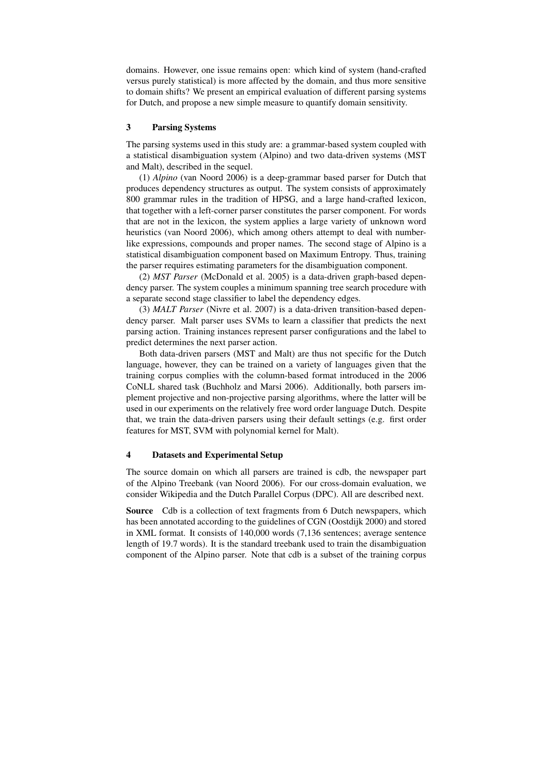domains. However, one issue remains open: which kind of system (hand-crafted versus purely statistical) is more affected by the domain, and thus more sensitive to domain shifts? We present an empirical evaluation of different parsing systems for Dutch, and propose a new simple measure to quantify domain sensitivity.

## 3 Parsing Systems

The parsing systems used in this study are: a grammar-based system coupled with a statistical disambiguation system (Alpino) and two data-driven systems (MST and Malt), described in the sequel.

(1) *Alpino* (van Noord 2006) is a deep-grammar based parser for Dutch that produces dependency structures as output. The system consists of approximately 800 grammar rules in the tradition of HPSG, and a large hand-crafted lexicon, that together with a left-corner parser constitutes the parser component. For words that are not in the lexicon, the system applies a large variety of unknown word heuristics (van Noord 2006), which among others attempt to deal with numberlike expressions, compounds and proper names. The second stage of Alpino is a statistical disambiguation component based on Maximum Entropy. Thus, training the parser requires estimating parameters for the disambiguation component.

(2) *MST Parser* (McDonald et al. 2005) is a data-driven graph-based dependency parser. The system couples a minimum spanning tree search procedure with a separate second stage classifier to label the dependency edges.

(3) *MALT Parser* (Nivre et al. 2007) is a data-driven transition-based dependency parser. Malt parser uses SVMs to learn a classifier that predicts the next parsing action. Training instances represent parser configurations and the label to predict determines the next parser action.

Both data-driven parsers (MST and Malt) are thus not specific for the Dutch language, however, they can be trained on a variety of languages given that the training corpus complies with the column-based format introduced in the 2006 CoNLL shared task (Buchholz and Marsi 2006). Additionally, both parsers implement projective and non-projective parsing algorithms, where the latter will be used in our experiments on the relatively free word order language Dutch. Despite that, we train the data-driven parsers using their default settings (e.g. first order features for MST, SVM with polynomial kernel for Malt).

## 4 Datasets and Experimental Setup

The source domain on which all parsers are trained is cdb, the newspaper part of the Alpino Treebank (van Noord 2006). For our cross-domain evaluation, we consider Wikipedia and the Dutch Parallel Corpus (DPC). All are described next.

Source Cdb is a collection of text fragments from 6 Dutch newspapers, which has been annotated according to the guidelines of CGN (Oostdijk 2000) and stored in XML format. It consists of 140,000 words (7,136 sentences; average sentence length of 19.7 words). It is the standard treebank used to train the disambiguation component of the Alpino parser. Note that cdb is a subset of the training corpus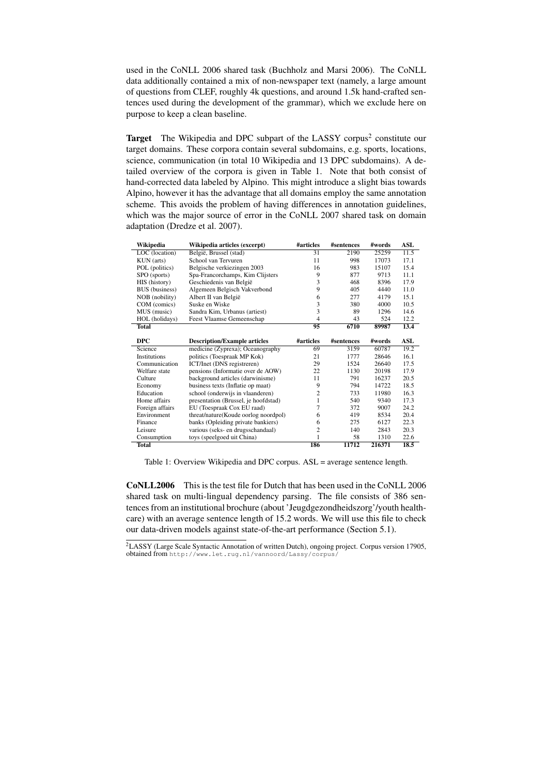used in the CoNLL 2006 shared task (Buchholz and Marsi 2006). The CoNLL data additionally contained a mix of non-newspaper text (namely, a large amount of questions from CLEF, roughly 4k questions, and around 1.5k hand-crafted sentences used during the development of the grammar), which we exclude here on purpose to keep a clean baseline.

Target The Wikipedia and DPC subpart of the LASSY corpus<sup>2</sup> constitute our target domains. These corpora contain several subdomains, e.g. sports, locations, science, communication (in total 10 Wikipedia and 13 DPC subdomains). A detailed overview of the corpora is given in Table 1. Note that both consist of hand-corrected data labeled by Alpino. This might introduce a slight bias towards Alpino, however it has the advantage that all domains employ the same annotation scheme. This avoids the problem of having differences in annotation guidelines, which was the major source of error in the CoNLL 2007 shared task on domain adaptation (Dredze et al. 2007).

| Wikipedia             | Wikipedia articles (excerpt)         | #articles       | #sentences | #words | ASL  |
|-----------------------|--------------------------------------|-----------------|------------|--------|------|
| LOC (location)        | België, Brussel (stad)               | $\overline{31}$ | 2190       | 25259  | 11.5 |
| KUN (arts)            | School van Tervuren                  | 11              | 998        | 17073  | 17.1 |
| POL (politics)        | Belgische verkiezingen 2003          | 16              | 983        | 15107  | 15.4 |
| SPO (sports)          | Spa-Francorchamps, Kim Clijsters     | 9               | 877        | 9713   | 11.1 |
| HIS (history)         | Geschiedenis van België              | 3               | 468        | 8396   | 17.9 |
| <b>BUS</b> (business) | Algemeen Belgisch Vakverbond         | 9               | 405        | 4440   | 11.0 |
| NOB (nobility)        | Albert II van België                 | 6               | 277        | 4179   | 15.1 |
| COM (comics)          | Suske en Wiske                       | 3               | 380        | 4000   | 10.5 |
| MUS (music)           | Sandra Kim, Urbanus (artiest)        | 3               | 89         | 1296   | 14.6 |
| HOL (holidays)        | <b>Feest Vlaamse Gemeenschap</b>     | 4               | 43         | 524    | 12.2 |
| <b>Total</b>          |                                      | 95              | 6710       | 89987  | 13.4 |
|                       |                                      |                 |            |        |      |
| <b>DPC</b>            | <b>Description/Example articles</b>  | #articles       | #sentences | #words | ASL  |
| Science               | medicine (Zyprexa); Oceanography     | 69              | 3159       | 60787  | 19.2 |
| Institutions          | politics (Toespraak MP Kok)          | 21              | 1777       | 28646  | 16.1 |
|                       |                                      |                 |            |        | 17.5 |
| Communication         | ICT/Inet (DNS registreren)           | 29              | 1524       | 26640  |      |
| Welfare state         | pensions (Informatie over de AOW)    | 22              | 1130       | 20198  | 17.9 |
| Culture               | background articles (darwinisme)     | 11              | 791        | 16237  | 20.5 |
| Economy               | business texts (Inflatie op maat)    | 9               | 794        | 14722  | 18.5 |
| Education             | school (onderwijs in vlaanderen)     | $\overline{c}$  | 733        | 11980  | 16.3 |
| Home affairs          | presentation (Brussel, je hoofdstad) | 1               | 540        | 9340   | 17.3 |
| Foreign affairs       | EU (Toespraak Cox EU raad)           | 7               | 372        | 9007   | 24.2 |
| Environment           | threat/nature(Koude oorlog noordpol) | 6               | 419        | 8534   | 20.4 |
| Finance               | banks (Opleiding private bankiers)   | 6               | 275        | 6127   | 22.3 |
| Leisure               | various (seks- en drugsschandaal)    | $\overline{c}$  | 140        | 2843   | 20.3 |
| Consumption           | toys (speelgoed uit China)           | 1               | 58         | 1310   | 22.6 |

Table 1: Overview Wikipedia and DPC corpus. ASL = average sentence length.

CoNLL2006 This is the test file for Dutch that has been used in the CoNLL 2006 shared task on multi-lingual dependency parsing. The file consists of 386 sentences from an institutional brochure (about 'Jeugdgezondheidszorg'/youth healthcare) with an average sentence length of 15.2 words. We will use this file to check our data-driven models against state-of-the-art performance (Section 5.1).

<sup>2</sup>LASSY (Large Scale Syntactic Annotation of written Dutch), ongoing project. Corpus version 17905, obtained from http://www.let.rug.nl/vannoord/Lassy/corpus/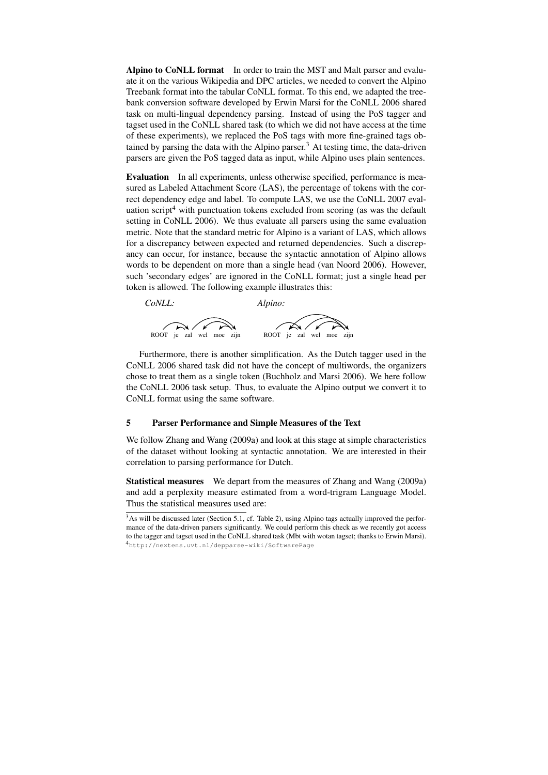Alpino to CoNLL format In order to train the MST and Malt parser and evaluate it on the various Wikipedia and DPC articles, we needed to convert the Alpino Treebank format into the tabular CoNLL format. To this end, we adapted the treebank conversion software developed by Erwin Marsi for the CoNLL 2006 shared task on multi-lingual dependency parsing. Instead of using the PoS tagger and tagset used in the CoNLL shared task (to which we did not have access at the time of these experiments), we replaced the PoS tags with more fine-grained tags obtained by parsing the data with the Alpino parser.<sup>3</sup> At testing time, the data-driven parsers are given the PoS tagged data as input, while Alpino uses plain sentences.

Evaluation In all experiments, unless otherwise specified, performance is measured as Labeled Attachment Score (LAS), the percentage of tokens with the correct dependency edge and label. To compute LAS, we use the CoNLL 2007 evaluation script<sup>4</sup> with punctuation tokens excluded from scoring (as was the default setting in CoNLL 2006). We thus evaluate all parsers using the same evaluation metric. Note that the standard metric for Alpino is a variant of LAS, which allows for a discrepancy between expected and returned dependencies. Such a discrepancy can occur, for instance, because the syntactic annotation of Alpino allows words to be dependent on more than a single head (van Noord 2006). However, such 'secondary edges' are ignored in the CoNLL format; just a single head per token is allowed. The following example illustrates this:



Furthermore, there is another simplification. As the Dutch tagger used in the CoNLL 2006 shared task did not have the concept of multiwords, the organizers chose to treat them as a single token (Buchholz and Marsi 2006). We here follow the CoNLL 2006 task setup. Thus, to evaluate the Alpino output we convert it to CoNLL format using the same software.

### 5 Parser Performance and Simple Measures of the Text

We follow Zhang and Wang (2009a) and look at this stage at simple characteristics of the dataset without looking at syntactic annotation. We are interested in their correlation to parsing performance for Dutch.

Statistical measures We depart from the measures of Zhang and Wang (2009a) and add a perplexity measure estimated from a word-trigram Language Model. Thus the statistical measures used are:

<sup>&</sup>lt;sup>3</sup>As will be discussed later (Section 5.1, cf. Table 2), using Alpino tags actually improved the performance of the data-driven parsers significantly. We could perform this check as we recently got access to the tagger and tagset used in the CoNLL shared task (Mbt with wotan tagset; thanks to Erwin Marsi). <sup>4</sup>http://nextens.uvt.nl/depparse-wiki/SoftwarePage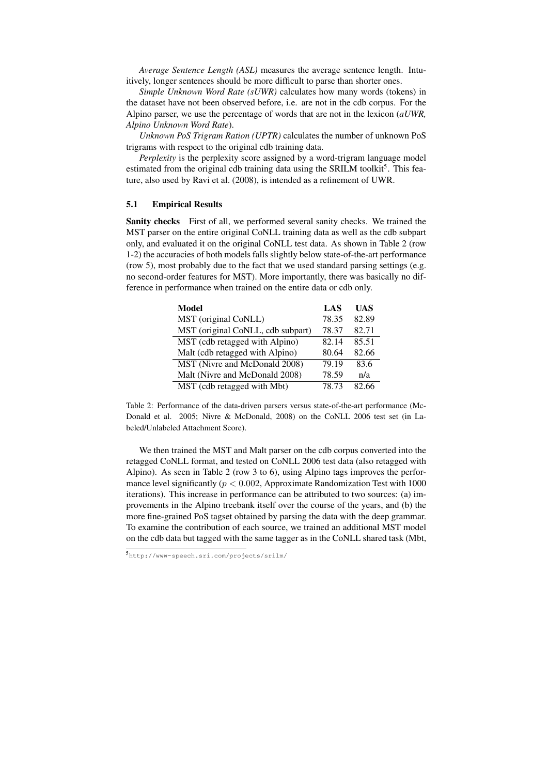*Average Sentence Length (ASL)* measures the average sentence length. Intuitively, longer sentences should be more difficult to parse than shorter ones.

*Simple Unknown Word Rate (sUWR)* calculates how many words (tokens) in the dataset have not been observed before, i.e. are not in the cdb corpus. For the Alpino parser, we use the percentage of words that are not in the lexicon (*aUWR, Alpino Unknown Word Rate*).

*Unknown PoS Trigram Ration (UPTR)* calculates the number of unknown PoS trigrams with respect to the original cdb training data.

*Perplexity* is the perplexity score assigned by a word-trigram language model estimated from the original cdb training data using the SRILM toolkit<sup>5</sup>. This feature, also used by Ravi et al. (2008), is intended as a refinement of UWR.

#### 5.1 Empirical Results

Sanity checks First of all, we performed several sanity checks. We trained the MST parser on the entire original CoNLL training data as well as the cdb subpart only, and evaluated it on the original CoNLL test data. As shown in Table 2 (row 1-2) the accuracies of both models falls slightly below state-of-the-art performance (row 5), most probably due to the fact that we used standard parsing settings (e.g. no second-order features for MST). More importantly, there was basically no difference in performance when trained on the entire data or cdb only.

| <b>Model</b>                      | LAS   | UAS   |
|-----------------------------------|-------|-------|
| MST (original CoNLL)              | 78.35 | 82.89 |
| MST (original CoNLL, cdb subpart) | 78.37 | 82.71 |
| MST (cdb retagged with Alpino)    | 82.14 | 85.51 |
| Malt (cdb retagged with Alpino)   | 80.64 | 82.66 |
| MST (Nivre and McDonald 2008)     | 79.19 | 83.6  |
| Malt (Nivre and McDonald 2008)    | 78.59 | n/a   |
| MST (cdb retagged with Mbt)       | 78.73 | 82.66 |

Table 2: Performance of the data-driven parsers versus state-of-the-art performance (Mc-Donald et al. 2005; Nivre & McDonald, 2008) on the CoNLL 2006 test set (in Labeled/Unlabeled Attachment Score).

We then trained the MST and Malt parser on the cdb corpus converted into the retagged CoNLL format, and tested on CoNLL 2006 test data (also retagged with Alpino). As seen in Table 2 (row 3 to 6), using Alpino tags improves the performance level significantly ( $p < 0.002$ , Approximate Randomization Test with 1000 iterations). This increase in performance can be attributed to two sources: (a) improvements in the Alpino treebank itself over the course of the years, and (b) the more fine-grained PoS tagset obtained by parsing the data with the deep grammar. To examine the contribution of each source, we trained an additional MST model on the cdb data but tagged with the same tagger as in the CoNLL shared task (Mbt,

<sup>5</sup>http://www-speech.sri.com/projects/srilm/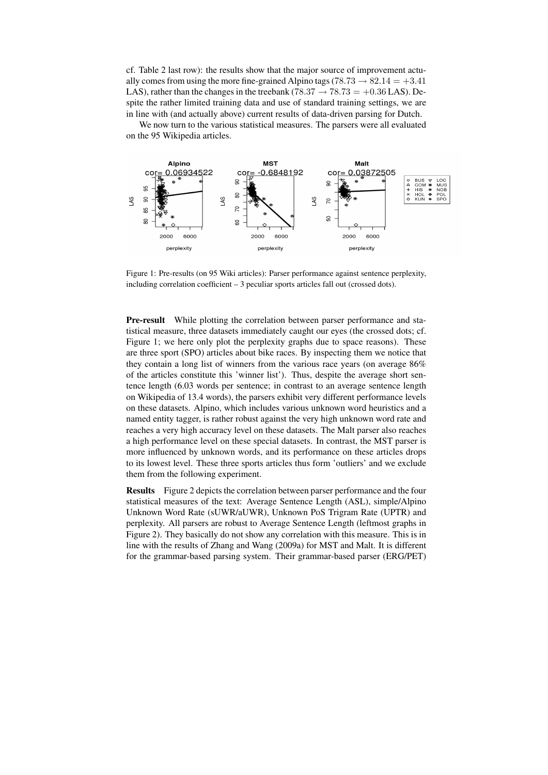cf. Table 2 last row): the results show that the major source of improvement actually comes from using the more fine-grained Alpino tags (78.73  $\rightarrow$  82.14 = +3.41 LAS), rather than the changes in the treebank (78.37  $\rightarrow$  78.73 = +0.36 LAS). Despite the rather limited training data and use of standard training settings, we are in line with (and actually above) current results of data-driven parsing for Dutch.

We now turn to the various statistical measures. The parsers were all evaluated on the 95 Wikipedia articles.



Figure 1: Pre-results (on 95 Wiki articles): Parser performance against sentence perplexity, including correlation coefficient – 3 peculiar sports articles fall out (crossed dots).

Pre-result While plotting the correlation between parser performance and statistical measure, three datasets immediately caught our eyes (the crossed dots; cf. Figure 1; we here only plot the perplexity graphs due to space reasons). These are three sport (SPO) articles about bike races. By inspecting them we notice that they contain a long list of winners from the various race years (on average 86% of the articles constitute this 'winner list'). Thus, despite the average short sentence length (6.03 words per sentence; in contrast to an average sentence length on Wikipedia of 13.4 words), the parsers exhibit very different performance levels on these datasets. Alpino, which includes various unknown word heuristics and a named entity tagger, is rather robust against the very high unknown word rate and reaches a very high accuracy level on these datasets. The Malt parser also reaches a high performance level on these special datasets. In contrast, the MST parser is more influenced by unknown words, and its performance on these articles drops to its lowest level. These three sports articles thus form 'outliers' and we exclude them from the following experiment.

Results Figure 2 depicts the correlation between parser performance and the four statistical measures of the text: Average Sentence Length (ASL), simple/Alpino Unknown Word Rate (sUWR/aUWR), Unknown PoS Trigram Rate (UPTR) and perplexity. All parsers are robust to Average Sentence Length (leftmost graphs in Figure 2). They basically do not show any correlation with this measure. This is in line with the results of Zhang and Wang (2009a) for MST and Malt. It is different for the grammar-based parsing system. Their grammar-based parser (ERG/PET)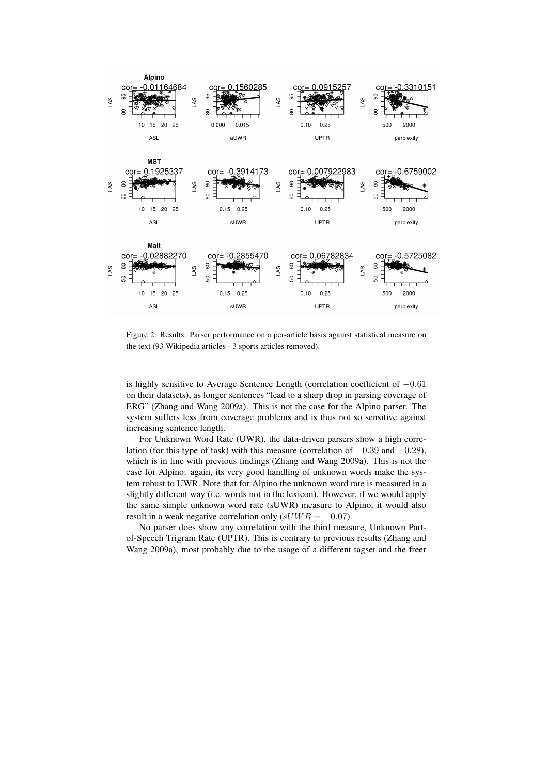

Figure 2: Results: Parser performance on a per-article basis against statistical measure on the text (93 Wikipedia articles - 3 sports articles removed).

is highly sensitive to Average Sentence Length (correlation coefficient of −0.61 on their datasets), as longer sentences "lead to a sharp drop in parsing coverage of ERG" (Zhang and Wang 2009a). This is not the case for the Alpino parser. The system suffers less from coverage problems and is thus not so sensitive against increasing sentence length.

For Unknown Word Rate (UWR), the data-driven parsers show a high correlation (for this type of task) with this measure (correlation of −0.39 and −0.28), which is in line with previous findings (Zhang and Wang 2009a). This is not the case for Alpino: again, its very good handling of unknown words make the system robust to UWR. Note that for Alpino the unknown word rate is measured in a slightly different way (i.e. words not in the lexicon). However, if we would apply the same simple unknown word rate (sUWR) measure to Alpino, it would also result in a weak negative correlation only  $(sUWR = -0.07)$ .

No parser does show any correlation with the third measure, Unknown Partof-Speech Trigram Rate (UPTR). This is contrary to previous results (Zhang and Wang 2009a), most probably due to the usage of a different tagset and the freer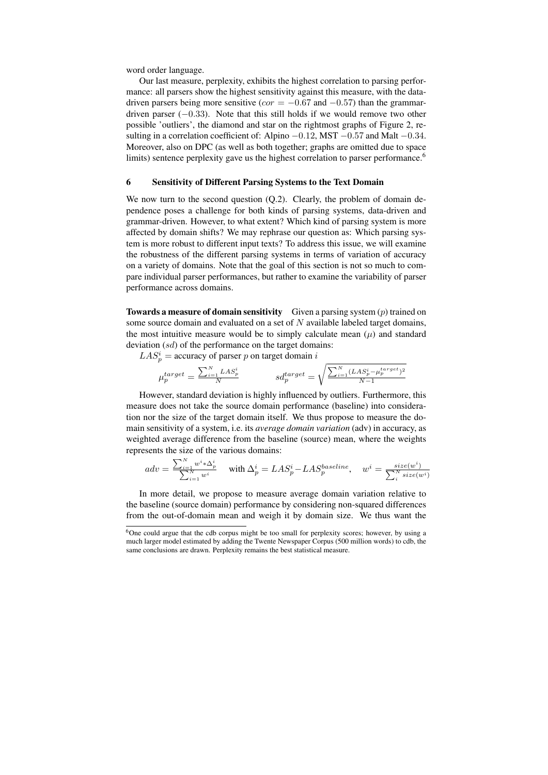word order language.

Our last measure, perplexity, exhibits the highest correlation to parsing performance: all parsers show the highest sensitivity against this measure, with the datadriven parsers being more sensitive ( $cor = -0.67$  and  $-0.57$ ) than the grammardriven parser  $(-0.33)$ . Note that this still holds if we would remove two other possible 'outliers', the diamond and star on the rightmost graphs of Figure 2, resulting in a correlation coefficient of: Alpino −0.12, MST −0.57 and Malt −0.34. Moreover, also on DPC (as well as both together; graphs are omitted due to space limits) sentence perplexity gave us the highest correlation to parser performance.<sup>6</sup>

#### 6 Sensitivity of Different Parsing Systems to the Text Domain

We now turn to the second question (Q.2). Clearly, the problem of domain dependence poses a challenge for both kinds of parsing systems, data-driven and grammar-driven. However, to what extent? Which kind of parsing system is more affected by domain shifts? We may rephrase our question as: Which parsing system is more robust to different input texts? To address this issue, we will examine the robustness of the different parsing systems in terms of variation of accuracy on a variety of domains. Note that the goal of this section is not so much to compare individual parser performances, but rather to examine the variability of parser performance across domains.

**Towards a measure of domain sensitivity** Given a parsing system  $(p)$  trained on some source domain and evaluated on a set of  $N$  available labeled target domains, the most intuitive measure would be to simply calculate mean  $(\mu)$  and standard deviation (sd) of the performance on the target domains:

 $LAS_p^i$  = accuracy of parser p on target domain i

$$
\mu_p^{target} = \frac{\sum_{i=1}^N LAS_p^i}{N} \hspace{10mm} sd_p^{target} = \sqrt{\frac{\sum_{i=1}^N (LAS_p^i - \mu_p^{target})^2}{N-1}}
$$

However, standard deviation is highly influenced by outliers. Furthermore, this measure does not take the source domain performance (baseline) into consideration nor the size of the target domain itself. We thus propose to measure the domain sensitivity of a system, i.e. its *average domain variation* (adv) in accuracy, as weighted average difference from the baseline (source) mean, where the weights represents the size of the various domains:

$$
adv = \frac{\sum_{i=1}^{N} w^i * \Delta_p^i}{\sum_{i=1}^{N} w^i} \quad \text{ with } \Delta_p^i = LAS_p^i - LAS_p^{baseline}, \quad w^i = \frac{size(w^i)}{\sum_{i}^{N} size(w^i)}
$$

In more detail, we propose to measure average domain variation relative to the baseline (source domain) performance by considering non-squared differences from the out-of-domain mean and weigh it by domain size. We thus want the

<sup>6</sup>One could argue that the cdb corpus might be too small for perplexity scores; however, by using a much larger model estimated by adding the Twente Newspaper Corpus (500 million words) to cdb, the same conclusions are drawn. Perplexity remains the best statistical measure.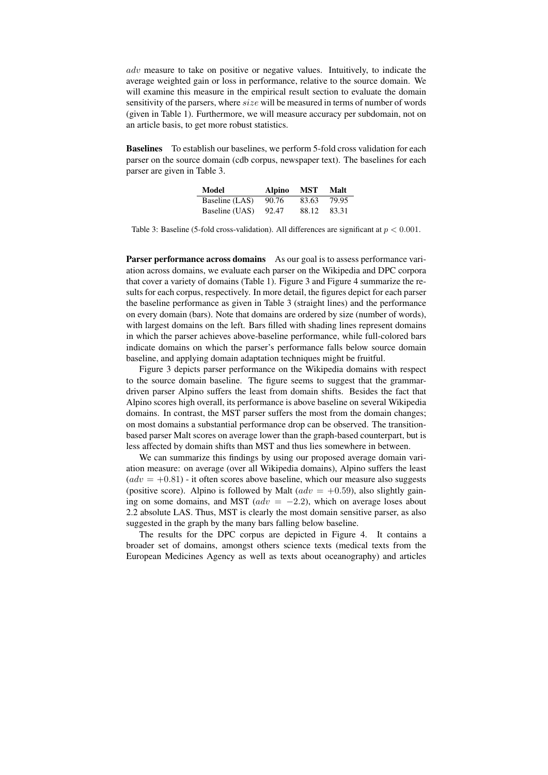adv measure to take on positive or negative values. Intuitively, to indicate the average weighted gain or loss in performance, relative to the source domain. We will examine this measure in the empirical result section to evaluate the domain sensitivity of the parsers, where size will be measured in terms of number of words (given in Table 1). Furthermore, we will measure accuracy per subdomain, not on an article basis, to get more robust statistics.

Baselines To establish our baselines, we perform 5-fold cross validation for each parser on the source domain (cdb corpus, newspaper text). The baselines for each parser are given in Table 3.

| Model          | Alpino | MST   | Malt  |
|----------------|--------|-------|-------|
| Baseline (LAS) | 90.76  | 83.63 | 79.95 |
| Baseline (UAS) | 92.47  | 88.12 | 83.31 |

Table 3: Baseline (5-fold cross-validation). All differences are significant at  $p < 0.001$ .

Parser performance across domains As our goal is to assess performance variation across domains, we evaluate each parser on the Wikipedia and DPC corpora that cover a variety of domains (Table 1). Figure 3 and Figure 4 summarize the results for each corpus, respectively. In more detail, the figures depict for each parser the baseline performance as given in Table 3 (straight lines) and the performance on every domain (bars). Note that domains are ordered by size (number of words), with largest domains on the left. Bars filled with shading lines represent domains in which the parser achieves above-baseline performance, while full-colored bars indicate domains on which the parser's performance falls below source domain baseline, and applying domain adaptation techniques might be fruitful.

Figure 3 depicts parser performance on the Wikipedia domains with respect to the source domain baseline. The figure seems to suggest that the grammardriven parser Alpino suffers the least from domain shifts. Besides the fact that Alpino scores high overall, its performance is above baseline on several Wikipedia domains. In contrast, the MST parser suffers the most from the domain changes; on most domains a substantial performance drop can be observed. The transitionbased parser Malt scores on average lower than the graph-based counterpart, but is less affected by domain shifts than MST and thus lies somewhere in between.

We can summarize this findings by using our proposed average domain variation measure: on average (over all Wikipedia domains), Alpino suffers the least  $(adv = +0.81)$  - it often scores above baseline, which our measure also suggests (positive score). Alpino is followed by Malt ( $adv = +0.59$ ), also slightly gaining on some domains, and MST ( $adv = -2.2$ ), which on average loses about 2.2 absolute LAS. Thus, MST is clearly the most domain sensitive parser, as also suggested in the graph by the many bars falling below baseline.

The results for the DPC corpus are depicted in Figure 4. It contains a broader set of domains, amongst others science texts (medical texts from the European Medicines Agency as well as texts about oceanography) and articles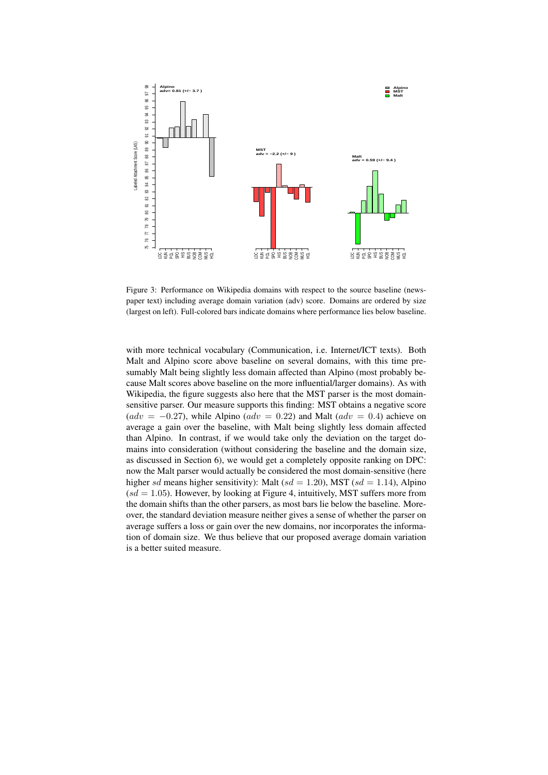

Figure 3: Performance on Wikipedia domains with respect to the source baseline (newspaper text) including average domain variation (adv) score. Domains are ordered by size (largest on left). Full-colored bars indicate domains where performance lies below baseline.

with more technical vocabulary (Communication, i.e. Internet/ICT texts). Both Malt and Alpino score above baseline on several domains, with this time presumably Malt being slightly less domain affected than Alpino (most probably because Malt scores above baseline on the more influential/larger domains). As with Wikipedia, the figure suggests also here that the MST parser is the most domainsensitive parser. Our measure supports this finding: MST obtains a negative score  $(adv = -0.27)$ , while Alpino  $(adv = 0.22)$  and Malt  $(adv = 0.4)$  achieve on average a gain over the baseline, with Malt being slightly less domain affected than Alpino. In contrast, if we would take only the deviation on the target domains into consideration (without considering the baseline and the domain size, as discussed in Section 6), we would get a completely opposite ranking on DPC: now the Malt parser would actually be considered the most domain-sensitive (here higher sd means higher sensitivity): Malt (sd = 1.20), MST (sd = 1.14), Alpino  $(sd = 1.05)$ . However, by looking at Figure 4, intuitively, MST suffers more from the domain shifts than the other parsers, as most bars lie below the baseline. Moreover, the standard deviation measure neither gives a sense of whether the parser on average suffers a loss or gain over the new domains, nor incorporates the information of domain size. We thus believe that our proposed average domain variation is a better suited measure.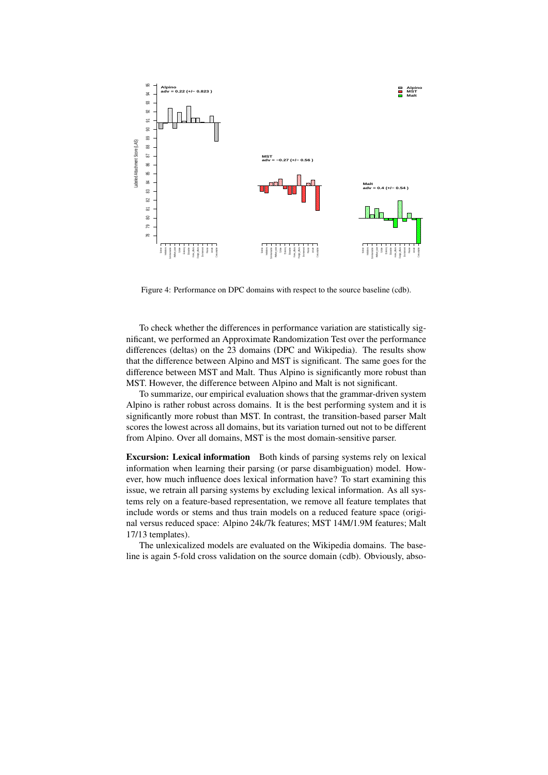

Figure 4: Performance on DPC domains with respect to the source baseline (cdb).

To check whether the differences in performance variation are statistically significant, we performed an Approximate Randomization Test over the performance differences (deltas) on the 23 domains (DPC and Wikipedia). The results show that the difference between Alpino and MST is significant. The same goes for the difference between MST and Malt. Thus Alpino is significantly more robust than MST. However, the difference between Alpino and Malt is not significant.

To summarize, our empirical evaluation shows that the grammar-driven system Alpino is rather robust across domains. It is the best performing system and it is significantly more robust than MST. In contrast, the transition-based parser Malt scores the lowest across all domains, but its variation turned out not to be different from Alpino. Over all domains, MST is the most domain-sensitive parser.

Excursion: Lexical information Both kinds of parsing systems rely on lexical information when learning their parsing (or parse disambiguation) model. However, how much influence does lexical information have? To start examining this issue, we retrain all parsing systems by excluding lexical information. As all systems rely on a feature-based representation, we remove all feature templates that include words or stems and thus train models on a reduced feature space (original versus reduced space: Alpino 24k/7k features; MST 14M/1.9M features; Malt 17/13 templates).

The unlexicalized models are evaluated on the Wikipedia domains. The baseline is again 5-fold cross validation on the source domain (cdb). Obviously, abso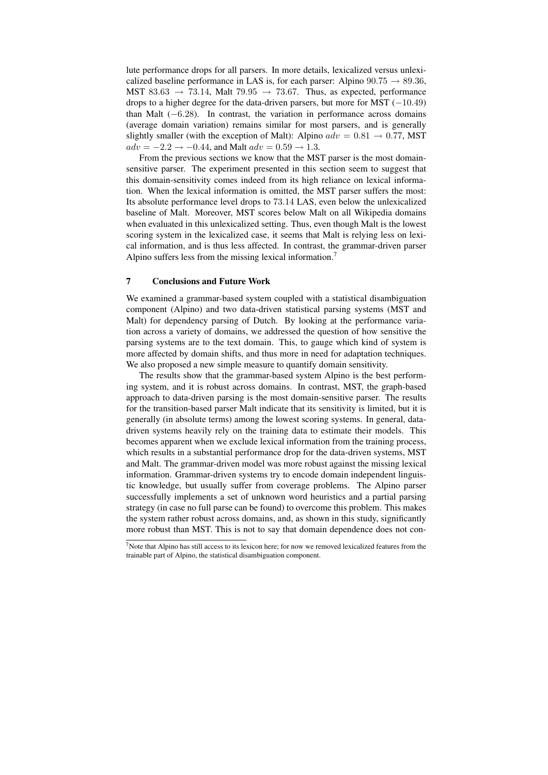lute performance drops for all parsers. In more details, lexicalized versus unlexicalized baseline performance in LAS is, for each parser: Alpino  $90.75 \rightarrow 89.36$ , MST 83.63  $\rightarrow$  73.14, Malt 79.95  $\rightarrow$  73.67. Thus, as expected, performance drops to a higher degree for the data-driven parsers, but more for MST (−10.49) than Malt  $(-6.28)$ . In contrast, the variation in performance across domains (average domain variation) remains similar for most parsers, and is generally slightly smaller (with the exception of Malt): Alpino  $adv = 0.81 \rightarrow 0.77$ , MST  $adv = -2.2 \rightarrow -0.44$ , and Malt  $adv = 0.59 \rightarrow 1.3$ .

From the previous sections we know that the MST parser is the most domainsensitive parser. The experiment presented in this section seem to suggest that this domain-sensitivity comes indeed from its high reliance on lexical information. When the lexical information is omitted, the MST parser suffers the most: Its absolute performance level drops to 73.14 LAS, even below the unlexicalized baseline of Malt. Moreover, MST scores below Malt on all Wikipedia domains when evaluated in this unlexicalized setting. Thus, even though Malt is the lowest scoring system in the lexicalized case, it seems that Malt is relying less on lexical information, and is thus less affected. In contrast, the grammar-driven parser Alpino suffers less from the missing lexical information.<sup>7</sup>

## 7 Conclusions and Future Work

We examined a grammar-based system coupled with a statistical disambiguation component (Alpino) and two data-driven statistical parsing systems (MST and Malt) for dependency parsing of Dutch. By looking at the performance variation across a variety of domains, we addressed the question of how sensitive the parsing systems are to the text domain. This, to gauge which kind of system is more affected by domain shifts, and thus more in need for adaptation techniques. We also proposed a new simple measure to quantify domain sensitivity.

The results show that the grammar-based system Alpino is the best performing system, and it is robust across domains. In contrast, MST, the graph-based approach to data-driven parsing is the most domain-sensitive parser. The results for the transition-based parser Malt indicate that its sensitivity is limited, but it is generally (in absolute terms) among the lowest scoring systems. In general, datadriven systems heavily rely on the training data to estimate their models. This becomes apparent when we exclude lexical information from the training process, which results in a substantial performance drop for the data-driven systems, MST and Malt. The grammar-driven model was more robust against the missing lexical information. Grammar-driven systems try to encode domain independent linguistic knowledge, but usually suffer from coverage problems. The Alpino parser successfully implements a set of unknown word heuristics and a partial parsing strategy (in case no full parse can be found) to overcome this problem. This makes the system rather robust across domains, and, as shown in this study, significantly more robust than MST. This is not to say that domain dependence does not con-

 $7$ Note that Alpino has still access to its lexicon here; for now we removed lexicalized features from the trainable part of Alpino, the statistical disambiguation component.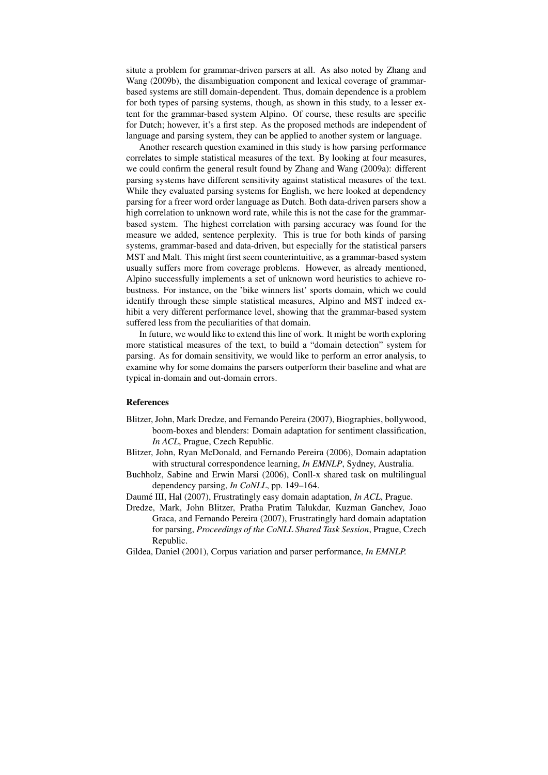situte a problem for grammar-driven parsers at all. As also noted by Zhang and Wang (2009b), the disambiguation component and lexical coverage of grammarbased systems are still domain-dependent. Thus, domain dependence is a problem for both types of parsing systems, though, as shown in this study, to a lesser extent for the grammar-based system Alpino. Of course, these results are specific for Dutch; however, it's a first step. As the proposed methods are independent of language and parsing system, they can be applied to another system or language.

Another research question examined in this study is how parsing performance correlates to simple statistical measures of the text. By looking at four measures, we could confirm the general result found by Zhang and Wang (2009a): different parsing systems have different sensitivity against statistical measures of the text. While they evaluated parsing systems for English, we here looked at dependency parsing for a freer word order language as Dutch. Both data-driven parsers show a high correlation to unknown word rate, while this is not the case for the grammarbased system. The highest correlation with parsing accuracy was found for the measure we added, sentence perplexity. This is true for both kinds of parsing systems, grammar-based and data-driven, but especially for the statistical parsers MST and Malt. This might first seem counterintuitive, as a grammar-based system usually suffers more from coverage problems. However, as already mentioned, Alpino successfully implements a set of unknown word heuristics to achieve robustness. For instance, on the 'bike winners list' sports domain, which we could identify through these simple statistical measures, Alpino and MST indeed exhibit a very different performance level, showing that the grammar-based system suffered less from the peculiarities of that domain.

In future, we would like to extend this line of work. It might be worth exploring more statistical measures of the text, to build a "domain detection" system for parsing. As for domain sensitivity, we would like to perform an error analysis, to examine why for some domains the parsers outperform their baseline and what are typical in-domain and out-domain errors.

### References

- Blitzer, John, Mark Dredze, and Fernando Pereira (2007), Biographies, bollywood, boom-boxes and blenders: Domain adaptation for sentiment classification, *In ACL*, Prague, Czech Republic.
- Blitzer, John, Ryan McDonald, and Fernando Pereira (2006), Domain adaptation with structural correspondence learning, *In EMNLP*, Sydney, Australia.
- Buchholz, Sabine and Erwin Marsi (2006), Conll-x shared task on multilingual dependency parsing, *In CoNLL*, pp. 149–164.
- Daumé III, Hal (2007), Frustratingly easy domain adaptation, *In ACL*, Prague.
- Dredze, Mark, John Blitzer, Pratha Pratim Talukdar, Kuzman Ganchev, Joao Graca, and Fernando Pereira (2007), Frustratingly hard domain adaptation for parsing, *Proceedings of the CoNLL Shared Task Session*, Prague, Czech Republic.
- Gildea, Daniel (2001), Corpus variation and parser performance, *In EMNLP.*